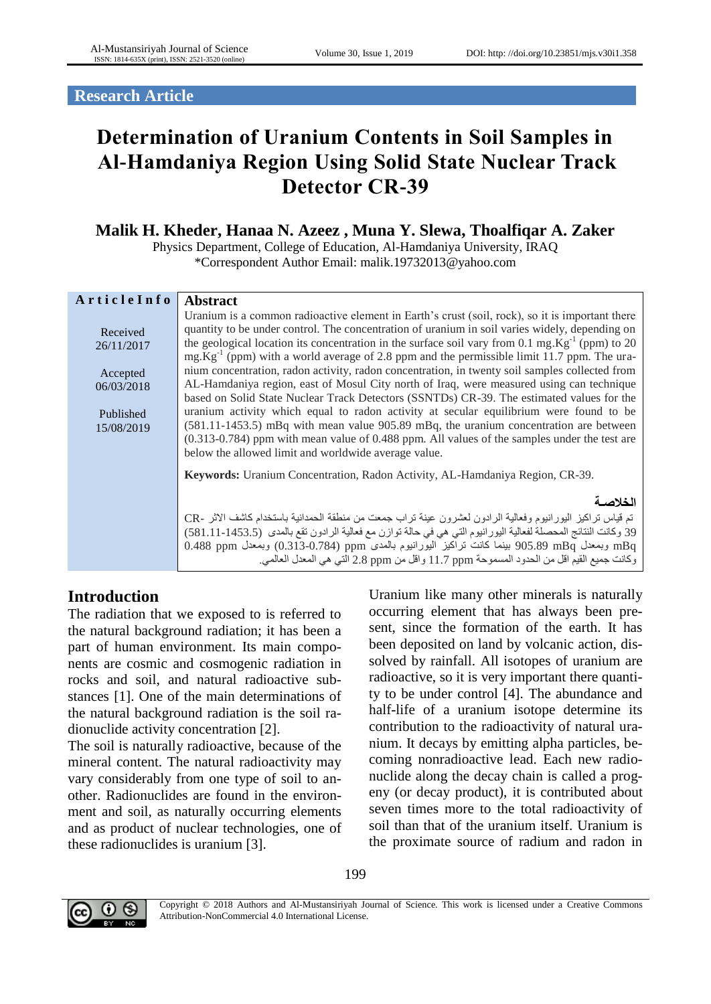**Research Article**

# **Determination of Uranium Contents in Soil Samples in Al-Hamdaniya Region Using Solid State Nuclear Track Detector CR-39**

## **Malik H. Kheder, Hanaa N. Azeez , Muna Y. Slewa, Thoalfiqar A. Zaker**

Physics Department, College of Education, Al-Hamdaniya University, IRAQ \*Correspondent Author Email: malik.19732013@yahoo.com

| ArticleInfo | <b>Abstract</b>                                                                                                 |  |  |  |
|-------------|-----------------------------------------------------------------------------------------------------------------|--|--|--|
|             | Uranium is a common radioactive element in Earth's crust (soil, rock), so it is important there                 |  |  |  |
| Received    | quantity to be under control. The concentration of uranium in soil varies widely, depending on                  |  |  |  |
| 26/11/2017  | the geological location its concentration in the surface soil vary from 0.1 mg. $Kg^{-1}$ (ppm) to 20           |  |  |  |
|             | $mg.Kg^{-1}$ (ppm) with a world average of 2.8 ppm and the permissible limit 11.7 ppm. The ura-                 |  |  |  |
| Accepted    | nium concentration, radon activity, radon concentration, in twenty soil samples collected from                  |  |  |  |
| 06/03/2018  | AL-Hamdaniya region, east of Mosul City north of Iraq, were measured using can technique                        |  |  |  |
|             | based on Solid State Nuclear Track Detectors (SSNTDs) CR-39. The estimated values for the                       |  |  |  |
| Published   | uranium activity which equal to radon activity at secular equilibrium were found to be                          |  |  |  |
| 15/08/2019  | $(581.11-1453.5)$ mBq with mean value 905.89 mBq, the uranium concentration are between                         |  |  |  |
|             | $(0.313-0.784)$ ppm with mean value of 0.488 ppm. All values of the samples under the test are                  |  |  |  |
|             | below the allowed limit and worldwide average value.                                                            |  |  |  |
|             | <b>Keywords:</b> Uranium Concentration, Radon Activity, AL-Hamdaniya Region, CR-39.                             |  |  |  |
|             | الخلاصة                                                                                                         |  |  |  |
|             | تم قياس تراكيز اليورانيوم وفعالية الرادون لعشرون عينة تراب جمعت من منطقة الحمدانية باستخدام كاشف الاثر -CR      |  |  |  |
|             | 39 وكانت النتائج المحصلة لفعالية اليور انيوم التي هي في حالة توازن مع فعالية الرادون تقع بالمدى (581.11-1453.5) |  |  |  |
|             | mBq وبمعدل 905.89 mBq بينما كانت تراكيز اليورانيوم بالمدى ppm (0.313-0.784) وبمعدل 0.488 0.488                  |  |  |  |
|             | وكانت جميع القيم اقل من الحدود المسموحة 11.7 ppm واقل من 2.8 ppm التي هي المعدل العالمي.                        |  |  |  |

## **Introduction**

The radiation that we exposed to is referred to the natural background radiation; it has been a part of human environment. Its main components are cosmic and cosmogenic radiation in rocks and soil, and natural radioactive substances [\[1\].](#page-4-0) One of the main determinations of the natural background radiation is the soil radionuclide activity concentration [\[2\].](#page-4-1)

The soil is naturally radioactive, because of the mineral content. The natural radioactivity may vary considerably from one type of soil to another. Radionuclides are found in the environment and soil, as naturally occurring elements and as product of nuclear technologies, one of these radionuclides is uranium [\[3\].](#page-4-2)

Uranium like many other minerals is naturally occurring element that has always been present, since the formation of the earth. It has been deposited on land by volcanic action, dissolved by rainfall. All isotopes of uranium are radioactive, so it is very important there quantity to be under control [\[4\].](#page-4-3) The abundance and half-life of a uranium isotope determine its contribution to the radioactivity of natural uranium. It decays by emitting alpha particles, becoming nonradioactive lead. Each new radionuclide along the decay chain is called a progeny (or decay product), it is contributed about seven times more to the total radioactivity of soil than that of the uranium itself. Uranium is the proximate source of radium and radon in



Copyright © 2018 Authors and Al-Mustansiriyah Journal of Science. This work is licensed under a Creative Commons Attribution-NonCommercial 4.0 International License.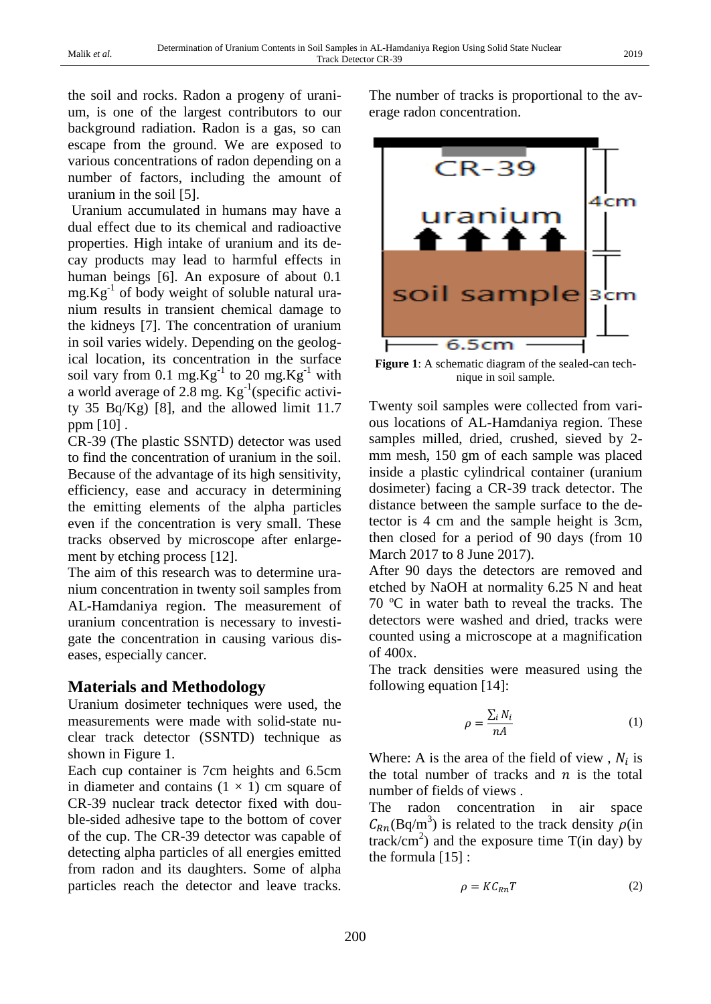the soil and rocks. Radon a progeny of uranium, is one of the largest contributors to our background radiation. Radon is a gas, so can escape from the ground. We are exposed to various concentrations of radon depending on a number of factors, including the amount of uranium in the soil [\[5\].](#page-4-4)

Uranium accumulated in humans may have a dual effect due to its chemical and radioactive properties. High intake of uranium and its decay products may lead to harmful effects in human beings [\[6\].](#page-4-5) An exposure of about 0.1  $mg.Kg^{-1}$  of body weight of soluble natural uranium results in transient chemical damage to the kidneys [\[7\].](#page-4-6) The concentration of uranium in soil varies widely. Depending on the geological location, its concentration in the surface soil vary from 0.1 mg. $Kg^{-1}$  to 20 mg. $Kg^{-1}$  with a world average of 2.8 mg. Kg<sup>-1</sup>(specific activity 35 Bq/Kg) [\[8\],](#page-4-7) and the allowed limit 11.7 ppm [\[10\]](#page-4-8) .

CR-39 (The plastic SSNTD) detector was used to find the concentration of uranium in the soil. Because of the advantage of its high sensitivity, efficiency, ease and accuracy in determining the emitting elements of the alpha particles even if the concentration is very small. These tracks observed by microscope after enlargement by etching process [\[12\].](#page-4-9)

The aim of this research was to determine uranium concentration in twenty soil samples from AL-Hamdaniya region. The measurement of uranium concentration is necessary to investigate the concentration in causing various diseases, especially cancer.

#### **Materials and Methodology**

Uranium dosimeter techniques were used, the measurements were made with solid-state nuclear track detector (SSNTD) technique as shown in Figure 1.

Each cup container is 7cm heights and 6.5cm in diameter and contains  $(1 \times 1)$  cm square of CR-39 nuclear track detector fixed with double-sided adhesive tape to the bottom of cover of the cup. The CR-39 detector was capable of detecting alpha particles of all energies emitted from radon and its daughters. Some of alpha particles reach the detector and leave tracks.

The number of tracks is proportional to the average radon concentration.



Figure 1: A schematic diagram of the sealed-can technique in soil sample.

Twenty soil samples were collected from various locations of AL-Hamdaniya region. These samples milled, dried, crushed, sieved by 2 mm mesh, 150 gm of each sample was placed inside a plastic cylindrical container (uranium dosimeter) facing a CR-39 track detector. The distance between the sample surface to the detector is 4 cm and the sample height is 3cm, then closed for a period of 90 days (from 10 March 2017 to 8 June 2017).

After 90 days the detectors are removed and etched by NaOH at normality 6.25 N and heat 70 ºC in water bath to reveal the tracks. The detectors were washed and dried, tracks were counted using a microscope at a magnification of 400x.

The track densities were measured using the following equation [\[14\]:](#page-4-10)

$$
\rho = \frac{\sum_{i} N_i}{nA} \tag{1}
$$

Where: A is the area of the field of view,  $N_i$  is the total number of tracks and  $n$  is the total number of fields of views .

The radon concentration in air space  $C_{Rn}(\text{Bq/m}^3)$  is related to the track density  $\rho(\text{in}$  $\text{track/cm}^2$ ) and the exposure time T(in day) by the formula [\[15\]](#page-4-11) :

$$
\rho = K C_{Rn} T \tag{2}
$$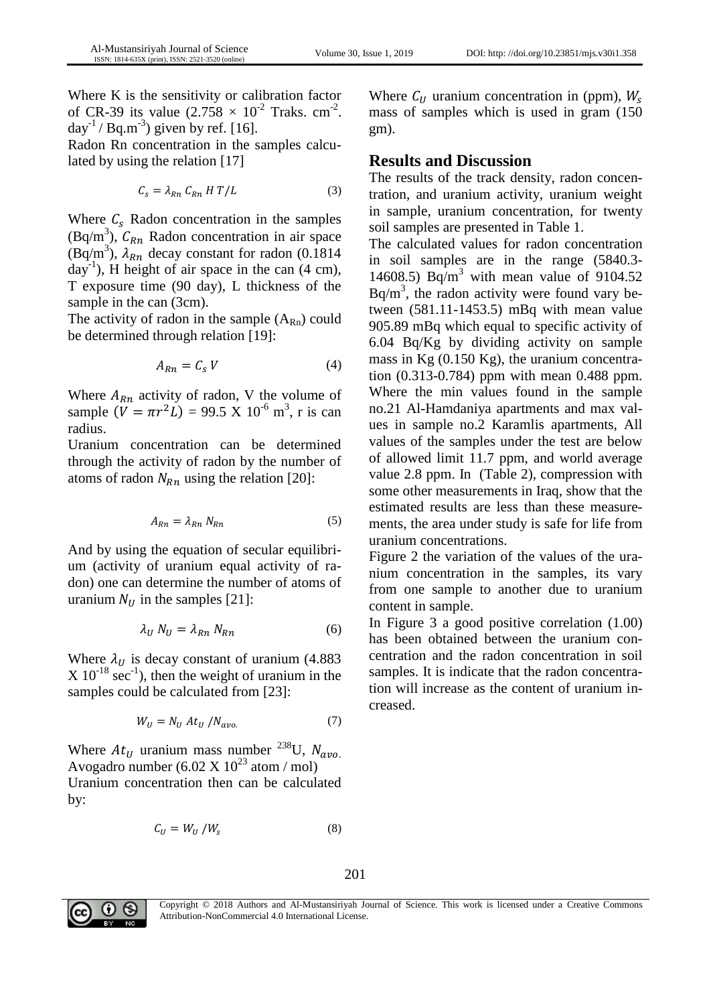Where K is the sensitivity or calibration factor of CR-39 its value  $(2.758 \times 10^{-2} \text{ Traks. cm}^{-2})$ .  $day^{-1}$  / Bq.m<sup>-3</sup>) given by ref. [\[16\].](#page-4-12)

Radon Rn concentration in the samples calculated by using the relation [\[17\]](#page-4-13)

$$
C_s = \lambda_{Rn} C_{Rn} H T / L \tag{3}
$$

Where  $C_s$  Radon concentration in the samples  $(Bq/m<sup>3</sup>)$ ,  $C_{Rn}$  Radon concentration in air space (Bq/m<sup>3</sup>),  $\lambda_{Rn}$  decay constant for radon (0.1814)  $day^{-1}$ ), H height of air space in the can  $(4 \text{ cm})$ , T exposure time (90 day), L thickness of the sample in the can  $(3cm)$ .

The activity of radon in the sample  $(A_{Rn})$  could be determined through relation [\[19\]:](#page-4-14)

$$
A_{Rn} = C_s V \tag{4}
$$

Where  $A_{Rn}$  activity of radon, V the volume of sample  $(V = \pi r^2 L) = 99.5 \text{ X } 10^{-6} \text{ m}^3$ , r is can radius.

Uranium concentration can be determined through the activity of radon by the number of atoms of radon  $N_{Rn}$  using the relation [\[20\]:](#page-4-15)

$$
A_{Rn} = \lambda_{Rn} N_{Rn} \tag{5}
$$

And by using the equation of secular equilibrium (activity of uranium equal activity of radon) one can determine the number of atoms of uranium  $N_U$  in the samples [\[21\]:](#page-4-16)

$$
\lambda_U N_U = \lambda_{Rn} N_{Rn} \tag{6}
$$

Where  $\lambda_U$  is decay constant of uranium (4.883)  $X 10^{-18}$  sec<sup>-1</sup>), then the weight of uranium in the samples could be calculated from [\[23\]:](#page-5-0)

$$
W_U = N_U A t_U / N_{avo.} \tag{7}
$$

Where  $At<sub>U</sub>$  uranium mass number <sup>238</sup>U,  $N_{\alpha\nu\rho}$ . Avogadro number (6.02 X  $10^{23}$  atom / mol) Uranium concentration then can be calculated by:

$$
C_U = W_U / W_s \tag{8}
$$

Where  $C_{U}$  uranium concentration in (ppm),  $W_{S}$ mass of samples which is used in gram (150 gm).

#### **Results and Discussion**

The results of the track density, radon concentration, and uranium activity, uranium weight in sample, uranium concentration, for twenty soil samples are presented in Table 1.

The calculated values for radon concentration in soil samples are in the range (5840.3- 14608.5) Bq/m<sup>3</sup> with mean value of 9104.52  $Bq/m<sup>3</sup>$ , the radon activity were found vary between (581.11-1453.5) mBq with mean value 905.89 mBq which equal to specific activity of 6.04 Bq/Kg by dividing activity on sample mass in Kg (0.150 Kg), the uranium concentration (0.313-0.784) ppm with mean 0.488 ppm. Where the min values found in the sample no.21 Al-Hamdaniya apartments and max values in sample no.2 Karamlis apartments, All values of the samples under the test are below of allowed limit 11.7 ppm, and world average value 2.8 ppm. In (Table 2), compression with some other measurements in Iraq, show that the estimated results are less than these measurements, the area under study is safe for life from uranium concentrations.

Figure 2 the variation of the values of the uranium concentration in the samples, its vary from one sample to another due to uranium content in sample.

In Figure 3 a good positive correlation (1.00) has been obtained between the uranium concentration and the radon concentration in soil samples. It is indicate that the radon concentration will increase as the content of uranium increased.



Copyright © 2018 Authors and Al-Mustansiriyah Journal of Science. This work is licensed under a Creative Commons Attribution-NonCommercial 4.0 International License.

201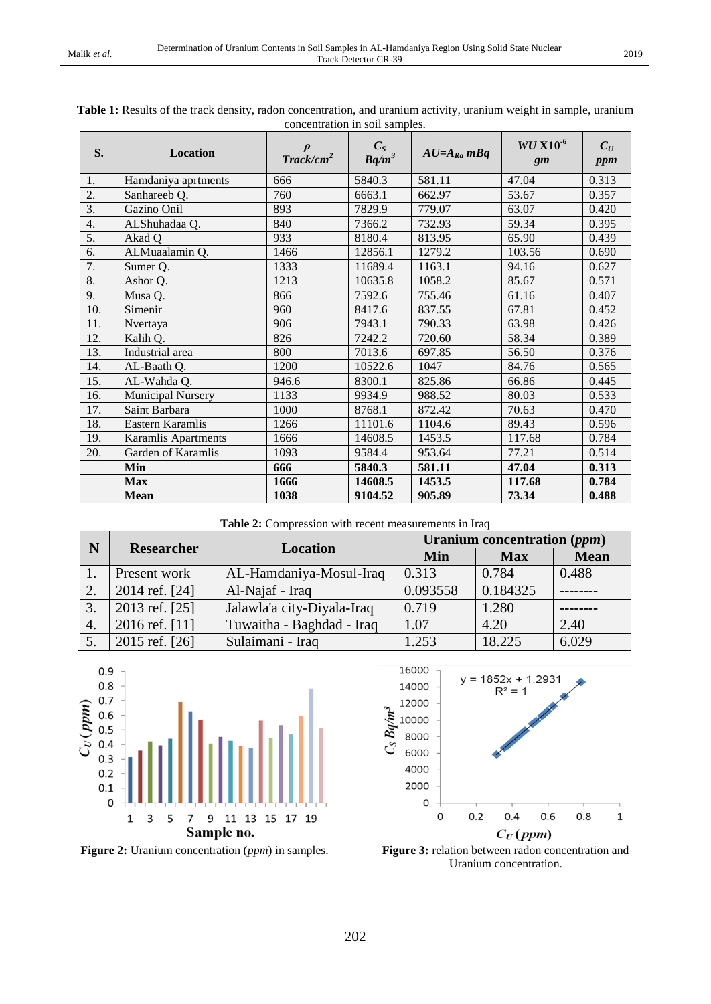| S.               | Location                 | $\textit{Track/cm}^2$ | concentration in son samples.<br>$\frac{C_S}{Bq/m^3}$ | $AU=A_{Ra}mBq$ | $WU X10^{-6}$<br>gm | $C_U$<br>ppm |
|------------------|--------------------------|-----------------------|-------------------------------------------------------|----------------|---------------------|--------------|
| 1.               | Hamdaniya aprtments      | 666                   | 5840.3                                                | 581.11         | 47.04               | 0.313        |
| 2.               | Sanhareeb Q.             | 760                   | 6663.1                                                | 662.97         | 53.67               | 0.357        |
| $\overline{3}$ . | Gazino Onil              | 893                   | 7829.9                                                | 779.07         | 63.07               | 0.420        |
| 4.               | ALShuhadaa Q.            | 840                   | 7366.2                                                | 732.93         | 59.34               | 0.395        |
| 5.               | Akad O                   | 933                   | 8180.4                                                | 813.95         | 65.90               | 0.439        |
| 6.               | ALMuaalamin Q.           | 1466                  | 12856.1                                               | 1279.2         | 103.56              | 0.690        |
| 7.               | Sumer Q.                 | 1333                  | 11689.4                                               | 1163.1         | 94.16               | 0.627        |
| 8.               | Ashor Q.                 | 1213                  | 10635.8                                               | 1058.2         | 85.67               | 0.571        |
| 9.               | Musa Q.                  | 866                   | 7592.6                                                | 755.46         | 61.16               | 0.407        |
| 10.              | Simenir                  | 960                   | 8417.6                                                | 837.55         | 67.81               | 0.452        |
| 11.              | Nvertaya                 | 906                   | 7943.1                                                | 790.33         | 63.98               | 0.426        |
| 12.              | Kalih Q.                 | 826                   | 7242.2                                                | 720.60         | 58.34               | 0.389        |
| 13.              | Industrial area          | 800                   | 7013.6                                                | 697.85         | 56.50               | 0.376        |
| 14.              | AL-Baath Q.              | 1200                  | 10522.6                                               | 1047           | 84.76               | 0.565        |
| 15.              | AL-Wahda Q.              | 946.6                 | 8300.1                                                | 825.86         | 66.86               | 0.445        |
| 16.              | <b>Municipal Nursery</b> | 1133                  | 9934.9                                                | 988.52         | 80.03               | 0.533        |
| 17.              | Saint Barbara            | 1000                  | 8768.1                                                | 872.42         | 70.63               | 0.470        |
| 18.              | Eastern Karamlis         | 1266                  | 11101.6                                               | 1104.6         | 89.43               | 0.596        |
| 19.              | Karamlis Apartments      | 1666                  | 14608.5                                               | 1453.5         | 117.68              | 0.784        |
| 20.              | Garden of Karamlis       | 1093                  | 9584.4                                                | 953.64         | 77.21               | 0.514        |
|                  | Min                      | 666                   | 5840.3                                                | 581.11         | 47.04               | 0.313        |
|                  | <b>Max</b>               | 1666                  | 14608.5                                               | 1453.5         | 117.68              | 0.784        |
|                  | <b>Mean</b>              | 1038                  | 9104.52                                               | 905.89         | 73.34               | 0.488        |

| Table 1: Results of the track density, radon concentration, and uranium activity, uranium weight in sample, uranium |  |  |  |  |  |
|---------------------------------------------------------------------------------------------------------------------|--|--|--|--|--|
| concentration in soil samples.                                                                                      |  |  |  |  |  |

**Table 2:** Compression with recent measurements in Iraq

| N  | <b>Researcher</b> | <b>Location</b>            | Uranium concentration (ppm) |            |             |  |
|----|-------------------|----------------------------|-----------------------------|------------|-------------|--|
|    |                   |                            | Min                         | <b>Max</b> | <b>Mean</b> |  |
|    | Present work      | AL-Hamdaniya-Mosul-Iraq    | 0.313                       | 0.784      | 0.488       |  |
| 2. | 2014 ref. [24]    | Al-Najaf - Iraq            | 0.093558                    | 0.184325   |             |  |
| 3. | 2013 ref. [25]    | Jalawla'a city-Diyala-Iraq | 0.719                       | 1.280      |             |  |
| 4. | 2016 ref. [11]    | Tuwaitha - Baghdad - Iraq  | 1.07                        | 4.20       | 2.40        |  |
|    | 2015 ref. [26]    | Sulaimani - Iraq           | 1.253                       | 18.225     | 6.029       |  |





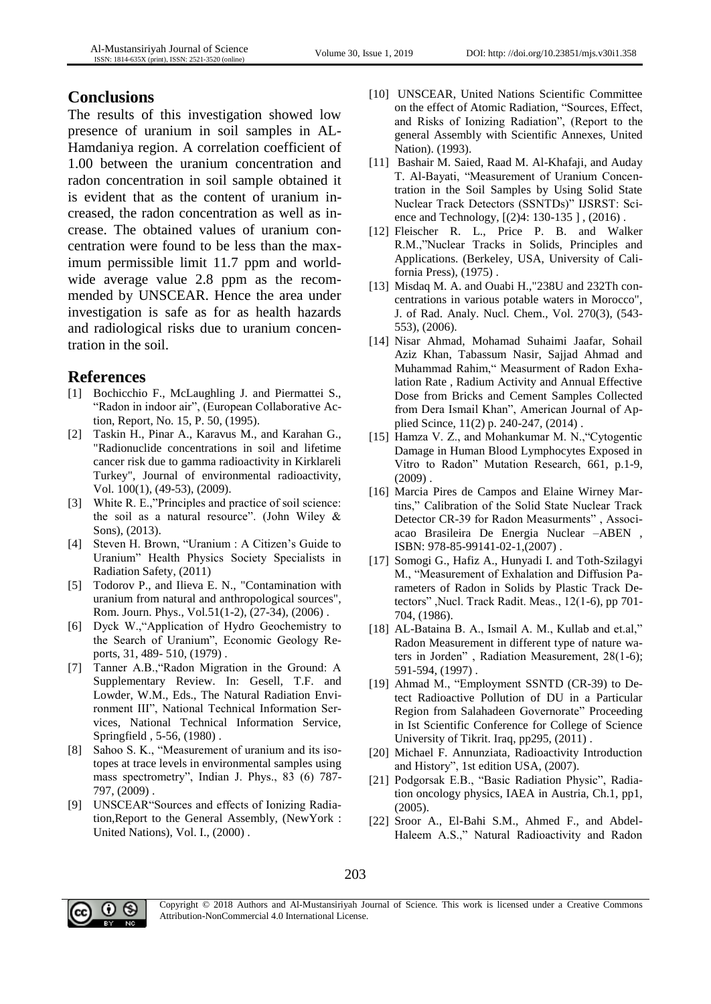### **Conclusions**

The results of this investigation showed low presence of uranium in soil samples in AL-Hamdaniya region. A correlation coefficient of 1.00 between the uranium concentration and radon concentration in soil sample obtained it is evident that as the content of uranium increased, the radon concentration as well as increase. The obtained values of uranium concentration were found to be less than the maximum permissible limit 11.7 ppm and worldwide average value 2.8 ppm as the recommended by UNSCEAR. Hence the area under investigation is safe as for as health hazards and radiological risks due to uranium concentration in the soil.

#### **References**

- <span id="page-4-0"></span>[1] Bochicchio F., McLaughling J. and Piermattei S., "Radon in indoor air", (European Collaborative Action, Report, No. 15, P. 50, (1995).
- <span id="page-4-1"></span>[2] Taskin H., Pinar A., Karavus M., and Karahan G., "Radionuclide concentrations in soil and lifetime cancer risk due to gamma radioactivity in Kirklareli Turkey", Journal of environmental radioactivity, Vol. 100(1), (49-53), (2009).
- <span id="page-4-2"></span>[3] White R. E.,"Principles and practice of soil science: the soil as a natural resource". (John Wiley & Sons), (2013).
- <span id="page-4-3"></span>[4] Steven H. Brown, "Uranium : A Citizen's Guide to Uranium" Health Physics Society Specialists in Radiation Safety, (2011)
- <span id="page-4-4"></span>[5] Todorov P., and Ilieva E. N., "Contamination with uranium from natural and anthropological sources", Rom. Journ. Phys., Vol.51(1-2), (27-34), (2006) .
- <span id="page-4-5"></span>[6] Dyck W.,"Application of Hydro Geochemistry to the Search of Uranium", Economic Geology Reports, 31, 489- 510, (1979) .
- <span id="page-4-6"></span>[7] Tanner A.B.,"Radon Migration in the Ground: A Supplementary Review. In: Gesell, T.F. and Lowder, W.M., Eds., The Natural Radiation Environment III", National Technical Information Services, National Technical Information Service, Springfield , 5-56, (1980) .
- <span id="page-4-7"></span>[8] Sahoo S. K., "Measurement of uranium and its isotopes at trace levels in environmental samples using mass spectrometry", Indian J. Phys., 83 (6) 787- 797, (2009) .
- [9] UNSCEAR"Sources and effects of Ionizing Radiation,Report to the General Assembly, (NewYork : United Nations), Vol. I., (2000) .
- <span id="page-4-8"></span>[10] UNSCEAR, United Nations Scientific Committee on the effect of Atomic Radiation, "Sources, Effect, and Risks of Ionizing Radiation", (Report to the general Assembly with Scientific Annexes, United Nation). (1993).
- <span id="page-4-17"></span>[11] Bashair M. Saied, Raad M. Al-Khafaji, and Auday T. Al-Bayati, "Measurement of Uranium Concentration in the Soil Samples by Using Solid State Nuclear Track Detectors (SSNTDs)" IJSRST: Science and Technology, [(2)4: 130-135 ] , (2016) .
- <span id="page-4-9"></span>[12] Fleischer R. L., Price P. B. and Walker R.M.,"Nuclear Tracks in Solids, Principles and Applications. (Berkeley, USA, University of California Press), (1975) .
- [13] Misdaq M. A. and Ouabi H.,"238U and 232Th concentrations in various potable waters in Morocco", J. of Rad. Analy. Nucl. Chem., Vol. 270(3), (543- 553), (2006).
- <span id="page-4-10"></span>[14] Nisar Ahmad, Mohamad Suhaimi Jaafar, Sohail Aziz Khan, Tabassum Nasir, Sajjad Ahmad and Muhammad Rahim," Measurment of Radon Exhalation Rate , Radium Activity and Annual Effective Dose from Bricks and Cement Samples Collected from Dera Ismail Khan", American Journal of Applied Scince, 11(2) p. 240-247, (2014) .
- <span id="page-4-11"></span>[15] Hamza V. Z., and Mohankumar M. N., "Cytogentic Damage in Human Blood Lymphocytes Exposed in Vitro to Radon" Mutation Research, 661, p.1-9,  $(2009)$ .
- <span id="page-4-12"></span>[16] Marcia Pires de Campos and Elaine Wirney Martins," Calibration of the Solid State Nuclear Track Detector CR-39 for Radon Measurments" , Associacao Brasileira De Energia Nuclear –ABEN , ISBN: 978-85-99141-02-1,(2007) .
- <span id="page-4-13"></span>[17] Somogi G., Hafiz A., Hunyadi I. and Toth-Szilagyi M., "Measurement of Exhalation and Diffusion Parameters of Radon in Solids by Plastic Track Detectors" ,Nucl. Track Radit. Meas., 12(1-6), pp 701- 704, (1986).
- [18] AL-Bataina B. A., Ismail A. M., Kullab and et.al," Radon Measurement in different type of nature waters in Jorden" , Radiation Measurement, 28(1-6); 591-594, (1997) .
- <span id="page-4-14"></span>[19] Ahmad M., "Employment SSNTD (CR-39) to Detect Radioactive Pollution of DU in a Particular Region from Salahadeen Governorate" Proceeding in Ist Scientific Conference for College of Science University of Tikrit. Iraq, pp295, (2011) .
- <span id="page-4-15"></span>[20] Michael F. Annunziata, Radioactivity Introduction and History", 1st edition USA, (2007).
- <span id="page-4-16"></span>[21] Podgorsak E.B., "Basic Radiation Physic", Radiation oncology physics, IAEA in Austria, Ch.1, pp1, (2005).
- [22] Sroor A., El-Bahi S.M., Ahmed F., and Abdel-Haleem A.S.," Natural Radioactivity and Radon



Copyright © 2018 Authors and Al-Mustansiriyah Journal of Science. This work is licensed under a Creative Commons Attribution-NonCommercial 4.0 International License.